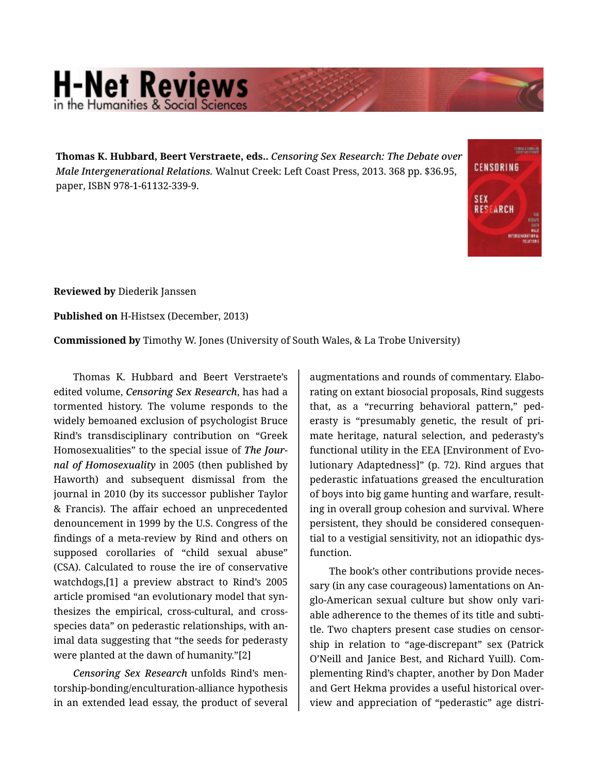## **H-Net Reviews**

**Thomas K. Hubbard, Beert Verstraete, eds..** *Censoring Sex Research: The Debate over Male Intergenerational Relations.* Walnut Creek: Left Coast Press, 2013. 368 pp. \$36.95, paper, ISBN 978-1-61132-339-9.



**Reviewed by** Diederik Janssen

**Published on** H-Histsex (December, 2013)

**Commissioned by** Timothy W. Jones (University of South Wales, & La Trobe University)

Thomas K. Hubbard and Beert Verstraete's edited volume, *Censoring Sex Research*, has had a tormented history. The volume responds to the widely bemoaned exclusion of psychologist Bruce Rind's transdisciplinary contribution on "Greek Homosexualities" to the special issue of *The Jour‐ nal of Homosexuality* in 2005 (then published by Haworth) and subsequent dismissal from the journal in 2010 (by its successor publisher Taylor & Francis). The affair echoed an unprecedented denouncement in 1999 by the U.S. Congress of the findings of a meta-review by Rind and others on supposed corollaries of "child sexual abuse" (CSA). Calculated to rouse the ire of conservative watchdogs,[1] a preview abstract to Rind's 2005 article promised "an evolutionary model that syn‐ thesizes the empirical, cross-cultural, and crossspecies data" on pederastic relationships, with an‐ imal data suggesting that "the seeds for pederasty were planted at the dawn of humanity."[2]

*Censoring Sex Research* unfolds Rind's men‐ torship-bonding/enculturation-alliance hypothesis in an extended lead essay, the product of several

augmentations and rounds of commentary. Elabo‐ rating on extant biosocial proposals, Rind suggests that, as a "recurring behavioral pattern," ped‐ erasty is "presumably genetic, the result of pri‐ mate heritage, natural selection, and pederasty's functional utility in the EEA [Environment of Evo‐ lutionary Adaptedness]" (p. 72). Rind argues that pederastic infatuations greased the enculturation of boys into big game hunting and warfare, result‐ ing in overall group cohesion and survival. Where persistent, they should be considered consequen‐ tial to a vestigial sensitivity, not an idiopathic dys‐ function.

The book's other contributions provide neces‐ sary (in any case courageous) lamentations on An‐ glo-American sexual culture but show only vari‐ able adherence to the themes of its title and subti‐ tle. Two chapters present case studies on censor‐ ship in relation to "age-discrepant" sex (Patrick O'Neill and Janice Best, and Richard Yuill). Com‐ plementing Rind's chapter, another by Don Mader and Gert Hekma provides a useful historical over‐ view and appreciation of "pederastic" age distri‐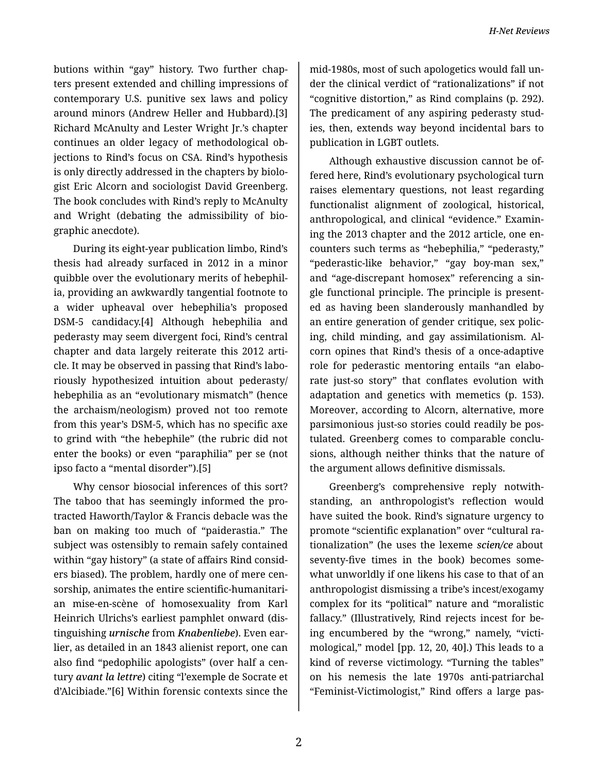butions within "gay" history. Two further chap‐ ters present extended and chilling impressions of contemporary U.S. punitive sex laws and policy around minors (Andrew Heller and Hubbard).[3] Richard McAnulty and Lester Wright Jr.'s chapter continues an older legacy of methodological ob‐ jections to Rind's focus on CSA. Rind's hypothesis is only directly addressed in the chapters by biolo‐ gist Eric Alcorn and sociologist David Greenberg. The book concludes with Rind's reply to McAnulty and Wright (debating the admissibility of bio‐ graphic anecdote).

During its eight-year publication limbo, Rind's thesis had already surfaced in 2012 in a minor quibble over the evolutionary merits of hebephil‐ ia, providing an awkwardly tangential footnote to a wider upheaval over hebephilia's proposed DSM-5 candidacy.[4] Although hebephilia and pederasty may seem divergent foci, Rind's central chapter and data largely reiterate this 2012 arti‐ cle. It may be observed in passing that Rind's labo‐ riously hypothesized intuition about pederasty/ hebephilia as an "evolutionary mismatch" (hence the archaism/neologism) proved not too remote from this year's DSM-5, which has no specific axe to grind with "the hebephile" (the rubric did not enter the books) or even "paraphilia" per se (not ipso facto a "mental disorder").[5]

Why censor biosocial inferences of this sort? The taboo that has seemingly informed the pro‐ tracted Haworth/Taylor & Francis debacle was the ban on making too much of "paiderastia." The subject was ostensibly to remain safely contained within "gay history" (a state of affairs Rind consid‐ ers biased). The problem, hardly one of mere cen‐ sorship, animates the entire scientific-humanitari‐ an mise-en-scène of homosexuality from Karl Heinrich Ulrichs's earliest pamphlet onward (dis‐ tinguishing *urnische* from *Knabenliebe*). Even ear‐ lier, as detailed in an 1843 alienist report, one can also find "pedophilic apologists" (over half a cen‐ tury *avant la lettre*) citing "l'exemple de Socrate et d'Alcibiade."[6] Within forensic contexts since the

mid-1980s, most of such apologetics would fall un‐ der the clinical verdict of "rationalizations" if not "cognitive distortion," as Rind complains (p. 292). The predicament of any aspiring pederasty stud‐ ies, then, extends way beyond incidental bars to publication in LGBT outlets.

Although exhaustive discussion cannot be of‐ fered here, Rind's evolutionary psychological turn raises elementary questions, not least regarding functionalist alignment of zoological, historical, anthropological, and clinical "evidence." Examin‐ ing the 2013 chapter and the 2012 article, one en‐ counters such terms as "hebephilia," "pederasty," "pederastic-like behavior," "gay boy-man sex," and "age-discrepant homosex" referencing a sin‐ gle functional principle. The principle is present‐ ed as having been slanderously manhandled by an entire generation of gender critique, sex polic‐ ing, child minding, and gay assimilationism. Al‐ corn opines that Rind's thesis of a once-adaptive role for pederastic mentoring entails "an elabo‐ rate just-so story" that conflates evolution with adaptation and genetics with memetics (p. 153). Moreover, according to Alcorn, alternative, more parsimonious just-so stories could readily be pos‐ tulated. Greenberg comes to comparable conclu‐ sions, although neither thinks that the nature of the argument allows definitive dismissals.

Greenberg's comprehensive reply notwith‐ standing, an anthropologist's reflection would have suited the book. Rind's signature urgency to promote "scientific explanation" over "cultural ra‐ tionalization" (he uses the lexeme *scien/ce* about seventy-five times in the book) becomes some‐ what unworldly if one likens his case to that of an anthropologist dismissing a tribe's incest/exogamy complex for its "political" nature and "moralistic fallacy." (Illustratively, Rind rejects incest for be‐ ing encumbered by the "wrong," namely, "victi‐ mological," model [pp. 12, 20, 40].) This leads to a kind of reverse victimology. "Turning the tables" on his nemesis the late 1970s anti-patriarchal "Feminist-Victimologist," Rind offers a large pas‐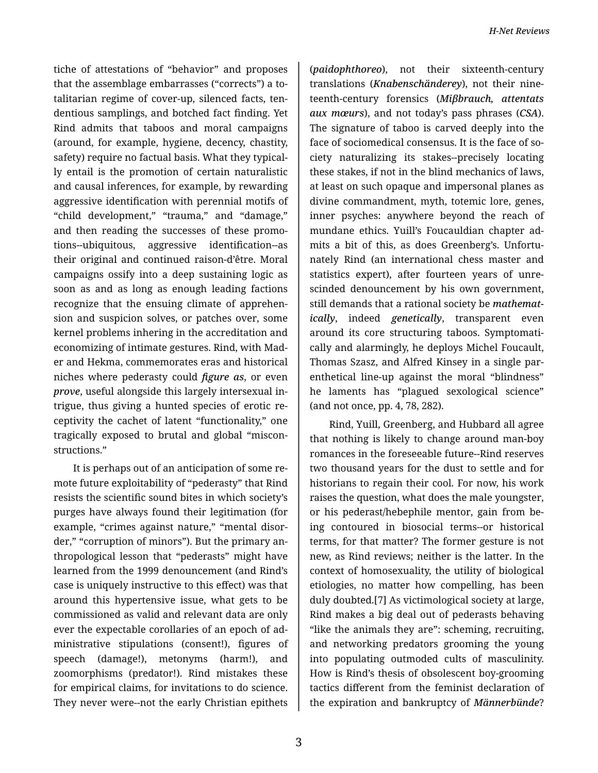tiche of attestations of "behavior" and proposes that the assemblage embarrasses ("corrects") a to‐ talitarian regime of cover-up, silenced facts, ten‐ dentious samplings, and botched fact finding. Yet Rind admits that taboos and moral campaigns (around, for example, hygiene, decency, chastity, safety) require no factual basis. What they typical‐ ly entail is the promotion of certain naturalistic and causal inferences, for example, by rewarding aggressive identification with perennial motifs of "child development," "trauma," and "damage," and then reading the successes of these promo‐ tions--ubiquitous, aggressive identification--as their original and continued raison-d'être. Moral campaigns ossify into a deep sustaining logic as soon as and as long as enough leading factions recognize that the ensuing climate of apprehen‐ sion and suspicion solves, or patches over, some kernel problems inhering in the accreditation and economizing of intimate gestures. Rind, with Mad‐ er and Hekma, commemorates eras and historical niches where pederasty could *figure as*, or even *prove*, useful alongside this largely intersexual in‐ trigue, thus giving a hunted species of erotic re‐ ceptivity the cachet of latent "functionality," one tragically exposed to brutal and global "miscon‐ structions."

It is perhaps out of an anticipation of some re‐ mote future exploitability of "pederasty" that Rind resists the scientific sound bites in which society's purges have always found their legitimation (for example, "crimes against nature," "mental disorder," "corruption of minors"). But the primary an‐ thropological lesson that "pederasts" might have learned from the 1999 denouncement (and Rind's case is uniquely instructive to this effect) was that around this hypertensive issue, what gets to be commissioned as valid and relevant data are only ever the expectable corollaries of an epoch of ad‐ ministrative stipulations (consent!), figures of speech (damage!), metonyms (harm!), and zoomorphisms (predator!). Rind mistakes these for empirical claims, for invitations to do science. They never were--not the early Christian epithets

(*paidophthoreo*), not their sixteenth-century translations (*Knabenschänderey*), not their nine‐ teenth-century forensics (*Miβbrauch, attentats aux mœurs*), and not today's pass phrases (*CSA*). The signature of taboo is carved deeply into the face of sociomedical consensus. It is the face of society naturalizing its stakes--precisely locating these stakes, if not in the blind mechanics of laws, at least on such opaque and impersonal planes as divine commandment, myth, totemic lore, genes, inner psyches: anywhere beyond the reach of mundane ethics. Yuill's Foucauldian chapter ad‐ mits a bit of this, as does Greenberg's. Unfortu‐ nately Rind (an international chess master and statistics expert), after fourteen years of unre‐ scinded denouncement by his own government, still demands that a rational society be *mathemat‐ ically*, indeed *genetically*, transparent even around its core structuring taboos. Symptomati‐ cally and alarmingly, he deploys Michel Foucault, Thomas Szasz, and Alfred Kinsey in a single par‐ enthetical line-up against the moral "blindness" he laments has "plagued sexological science" (and not once, pp. 4, 78, 282).

Rind, Yuill, Greenberg, and Hubbard all agree that nothing is likely to change around man-boy romances in the foreseeable future--Rind reserves two thousand years for the dust to settle and for historians to regain their cool. For now, his work raises the question, what does the male youngster, or his pederast/hebephile mentor, gain from be‐ ing contoured in biosocial terms--or historical terms, for that matter? The former gesture is not new, as Rind reviews; neither is the latter. In the context of homosexuality, the utility of biological etiologies, no matter how compelling, has been duly doubted.[7] As victimological society at large, Rind makes a big deal out of pederasts behaving "like the animals they are": scheming, recruiting, and networking predators grooming the young into populating outmoded cults of masculinity. How is Rind's thesis of obsolescent boy-grooming tactics different from the feminist declaration of the expiration and bankruptcy of *Männerbünde*?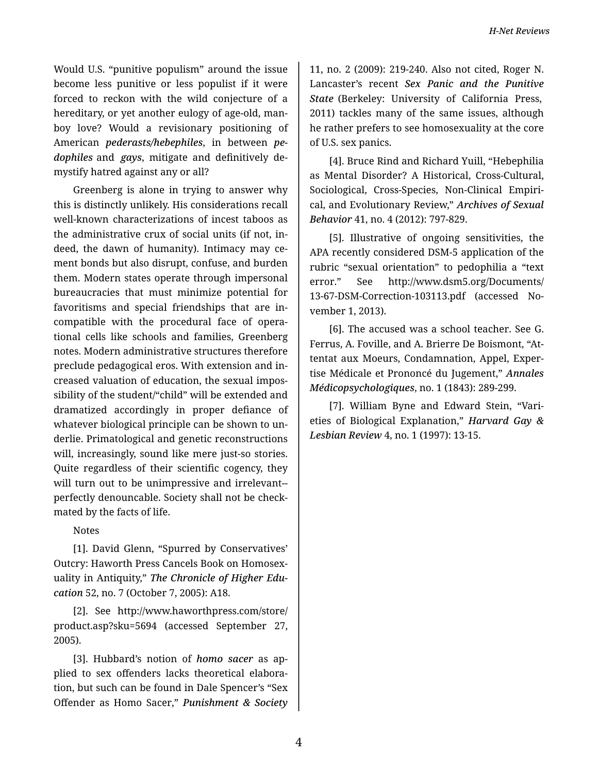Would U.S. "punitive populism" around the issue become less punitive or less populist if it were forced to reckon with the wild conjecture of a hereditary, or yet another eulogy of age-old, manboy love? Would a revisionary positioning of American *pederasts/hebephiles*, in between *pe‐ dophiles* and *gays*, mitigate and definitively de‐ mystify hatred against any or all?

Greenberg is alone in trying to answer why this is distinctly unlikely. His considerations recall well-known characterizations of incest taboos as the administrative crux of social units (if not, in‐ deed, the dawn of humanity). Intimacy may ce‐ ment bonds but also disrupt, confuse, and burden them. Modern states operate through impersonal bureaucracies that must minimize potential for favoritisms and special friendships that are in‐ compatible with the procedural face of opera‐ tional cells like schools and families, Greenberg notes. Modern administrative structures therefore preclude pedagogical eros. With extension and in‐ creased valuation of education, the sexual impos‐ sibility of the student/"child" will be extended and dramatized accordingly in proper defiance of whatever biological principle can be shown to un‐ derlie. Primatological and genetic reconstructions will, increasingly, sound like mere just-so stories. Quite regardless of their scientific cogency, they will turn out to be unimpressive and irrelevant- perfectly denouncable. Society shall not be check‐ mated by the facts of life.

Notes

[1]. David Glenn, "Spurred by Conservatives' Outcry: Haworth Press Cancels Book on Homosex‐ uality in Antiquity," *The Chronicle of Higher Edu‐ cation* 52, no. 7 (October 7, 2005): A18.

[2]. See http://www.haworthpress.com/store/ product.asp?sku=5694 (accessed September 27, 2005).

[3]. Hubbard's notion of *homo sacer* as ap‐ plied to sex offenders lacks theoretical elabora‐ tion, but such can be found in Dale Spencer's "Sex Offender as Homo Sacer," *Punishment & Society*

11, no. 2 (2009): 219-240. Also not cited, Roger N. Lancaster's recent *Sex Panic and the Punitive State* (Berkeley: University of California Press, 2011) tackles many of the same issues, although he rather prefers to see homosexuality at the core of U.S. sex panics.

[4]. Bruce Rind and Richard Yuill, "Hebephilia as Mental Disorder? A Historical, Cross-Cultural, Sociological, Cross-Species, Non-Clinical Empiri‐ cal, and Evolutionary Review," *Archives of Sexual Behavior* 41, no. 4 (2012): 797-829.

[5]. Illustrative of ongoing sensitivities, the APA recently considered DSM-5 application of the rubric "sexual orientation" to pedophilia a "text error." See http://www.dsm5.org/Documents/ 13-67-DSM-Correction-103113.pdf (accessed No‐ vember 1, 2013).

[6]. The accused was a school teacher. See G. Ferrus, A. Foville, and A. Brierre De Boismont, "At‐ tentat aux Moeurs, Condamnation, Appel, Exper‐ tise Médicale et Prononcé du Jugement," *Annales Médicopsychologiques*, no. 1 (1843): 289-299.

[7]. William Byne and Edward Stein, "Vari‐ eties of Biological Explanation," *Harvard Gay & Lesbian Review* 4, no. 1 (1997): 13-15.